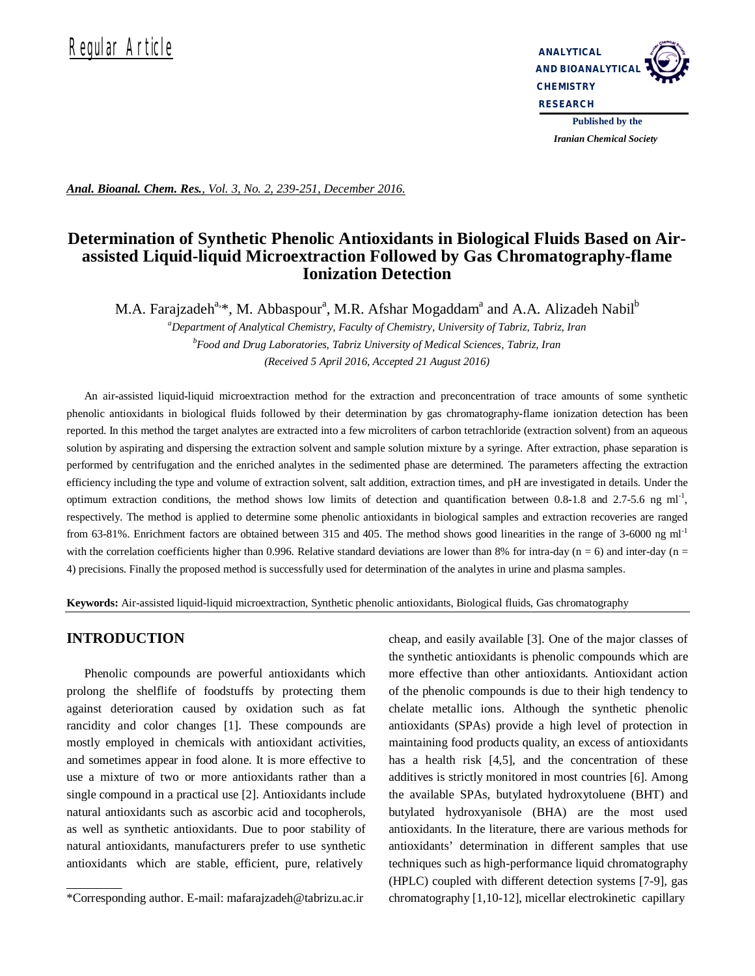# Requilar Article **Analytical**



*Iranian Chemical Society* 

*Anal. Bioanal. Chem. Res., Vol. 3, No. 2, 239-251, December 2016.*

# **Determination of Synthetic Phenolic Antioxidants in Biological Fluids Based on Airassisted Liquid-liquid Microextraction Followed by Gas Chromatography-flame Ionization Detection**

M.A. Farajzadeh<sup>a,</sup>\*, M. Abbaspour<sup>a</sup>, M.R. Afshar Mogaddam<sup>a</sup> and A.A. Alizadeh Nabil<sup>b</sup>

*<sup>a</sup>Department of Analytical Chemistry, Faculty of Chemistry, University of Tabriz, Tabriz, Iran <sup>b</sup>Food and Drug Laboratories, Tabriz University of Medical Sciences, Tabriz, Iran (Received 5 April 2016, Accepted 21 August 2016)*

An air**-**assisted liquid**-**liquid microextraction method for the extraction and preconcentration of trace amounts of some synthetic phenolic antioxidants in biological fluids followed by their determination by gas chromatography**-**flame ionization detection has been reported. In this method the target analytes are extracted into a few microliters of carbon tetrachloride (extraction solvent) from an aqueous solution by aspirating and dispersing the extraction solvent and sample solution mixture by a syringe. After extraction, phase separation is performed by centrifugation and the enriched analytes in the sedimented phase are determined. The parameters affecting the extraction efficiency including the type and volume of extraction solvent, salt addition, extraction times, and pH are investigated in details. Under the optimum extraction conditions, the method shows low limits of detection and quantification between 0.8-1.8 and 2.7-5.6 ng ml<sup>-1</sup>, respectively. The method is applied to determine some phenolic antioxidants in biological samples and extraction recoveries are ranged from 63-81%. Enrichment factors are obtained between 315 and 405. The method shows good linearities in the range of 3**-**6000 ng ml-1 with the correlation coefficients higher than 0.996. Relative standard deviations are lower than 8% for intra-day (n = 6) and inter-day (n = 4) precisions. Finally the proposed method is successfully used for determination of the analytes in urine and plasma samples.

**Keywords:** Air-assisted liquid-liquid microextraction, Synthetic phenolic antioxidants, Biological fluids, Gas chromatography

# **INTRODUCTION**

Phenolic compounds are powerful antioxidants which prolong the shelflife of foodstuffs by protecting them against deterioration caused by oxidation such as fat rancidity and color changes [1]. These compounds are mostly employed in chemicals with antioxidant activities, and sometimes appear in food alone. It is more effective to use a mixture of two or more antioxidants rather than a single compound in a practical use [2]. Antioxidants include natural antioxidants such as ascorbic acid and tocopherols, as well as synthetic antioxidants. Due to poor stability of natural antioxidants, manufacturers prefer to use synthetic antioxidants which are stable, efficient, pure, relatively

cheap, and easily available [3]. One of the major classes of the synthetic antioxidants is phenolic compounds which are more effective than other antioxidants. Antioxidant action of the phenolic compounds is due to their high tendency to chelate metallic ions. Although the synthetic phenolic antioxidants (SPAs) provide a high level of protection in maintaining food products quality, an excess of antioxidants has a health risk [4,5], and the concentration of these additives is strictly monitored in most countries [6]. Among the available SPAs, butylated hydroxytoluene (BHT) and butylated hydroxyanisole (BHA) are the most used antioxidants. In the literature, there are various methods for antioxidants' determination in different samples that use techniques such as high-performance liquid chromatography (HPLC) coupled with different detection systems [7-9], gas chromatography [1,10-12], micellar electrokinetic capillary

<sup>\*</sup>Corresponding author. E-mail: mafarajzadeh@tabrizu.ac.ir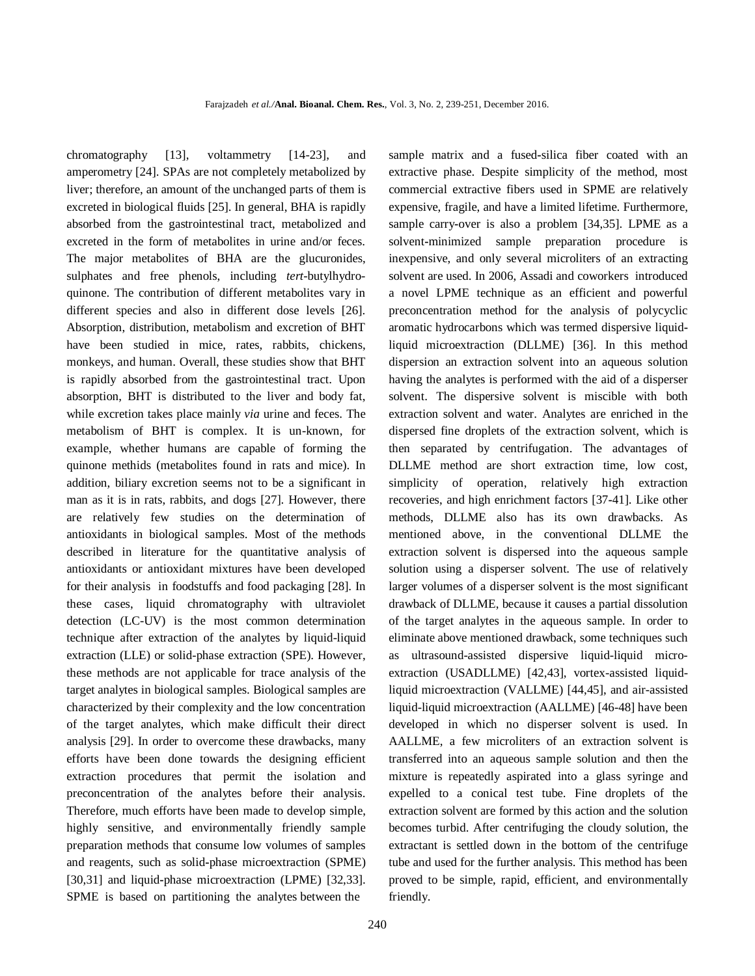chromatography [13], voltammetry [14-23], and amperometry [24]. SPAs are not completely metabolized by liver; therefore, an amount of the unchanged parts of them is excreted in biological fluids [25]. In general, BHA is rapidly absorbed from the gastrointestinal tract, metabolized and excreted in the form of metabolites in urine and/or feces. The major metabolites of BHA are the glucuronides, sulphates and free phenols, including *tert*-butylhydroquinone. The contribution of different metabolites vary in different species and also in different dose levels [26]. Absorption, distribution, metabolism and excretion of BHT have been studied in mice, rates, rabbits, chickens, monkeys, and human. Overall, these studies show that BHT is rapidly absorbed from the gastrointestinal tract. Upon absorption, BHT is distributed to the liver and body fat, while excretion takes place mainly *via* urine and feces. The metabolism of BHT is complex. It is un-known, for example, whether humans are capable of forming the quinone methids (metabolites found in rats and mice). In addition, biliary excretion seems not to be a significant in man as it is in rats, rabbits, and dogs [27]. However, there are relatively few studies on the determination of antioxidants in biological samples. Most of the methods described in literature for the quantitative analysis of antioxidants or antioxidant mixtures have been developed for their analysis in foodstuffs and food packaging [28]. In these cases, liquid chromatography with ultraviolet detection (LC-UV) is the most common determination technique after extraction of the analytes by liquid-liquid extraction (LLE) or solid-phase extraction (SPE). However, these methods are not applicable for trace analysis of the target analytes in biological samples. Biological samples are characterized by their complexity and the low concentration of the target analytes, which make difficult their direct analysis [29]. In order to overcome these drawbacks, many efforts have been done towards the designing efficient extraction procedures that permit the isolation and preconcentration of the analytes before their analysis. Therefore, much efforts have been made to develop simple, highly sensitive, and environmentally friendly sample preparation methods that consume low volumes of samples and reagents, such as solid**-**phase microextraction (SPME) [30,31] and liquid**-**phase microextraction (LPME) [32,33]. SPME is based on partitioning the analytes between the

sample matrix and a fused**-**silica fiber coated with an extractive phase. Despite simplicity of the method, most commercial extractive fibers used in SPME are relatively expensive, fragile, and have a limited lifetime. Furthermore, sample carry**-**over is also a problem [34,35]. LPME as a solvent**-**minimized sample preparation procedure is inexpensive, and only several microliters of an extracting solvent are used. In 2006, Assadi and coworkers introduced a novel LPME technique as an efficient and powerful preconcentration method for the analysis of polycyclic aromatic hydrocarbons which was termed dispersive liquidliquid microextraction (DLLME) [36]. In this method dispersion an extraction solvent into an aqueous solution having the analytes is performed with the aid of a disperser solvent. The dispersive solvent is miscible with both extraction solvent and water. Analytes are enriched in the dispersed fine droplets of the extraction solvent, which is then separated by centrifugation. The advantages of DLLME method are short extraction time, low cost, simplicity of operation, relatively high extraction recoveries, and high enrichment factors [37**-**41]. Like other methods, DLLME also has its own drawbacks. As mentioned above, in the conventional DLLME the extraction solvent is dispersed into the aqueous sample solution using a disperser solvent. The use of relatively larger volumes of a disperser solvent is the most significant drawback of DLLME, because it causes a partial dissolution of the target analytes in the aqueous sample. In order to eliminate above mentioned drawback, some techniques such as ultrasound-assisted dispersive liquid-liquid microextraction (USADLLME) [42,43], vortex-assisted liquidliquid microextraction (VALLME) [44,45], and air-assisted liquid-liquid microextraction (AALLME) [46-48] have been developed in which no disperser solvent is used. In AALLME, a few microliters of an extraction solvent is transferred into an aqueous sample solution and then the mixture is repeatedly aspirated into a glass syringe and expelled to a conical test tube. Fine droplets of the extraction solvent are formed by this action and the solution becomes turbid. After centrifuging the cloudy solution, the extractant is settled down in the bottom of the centrifuge tube and used for the further analysis. This method has been proved to be simple, rapid, efficient, and environmentally friendly.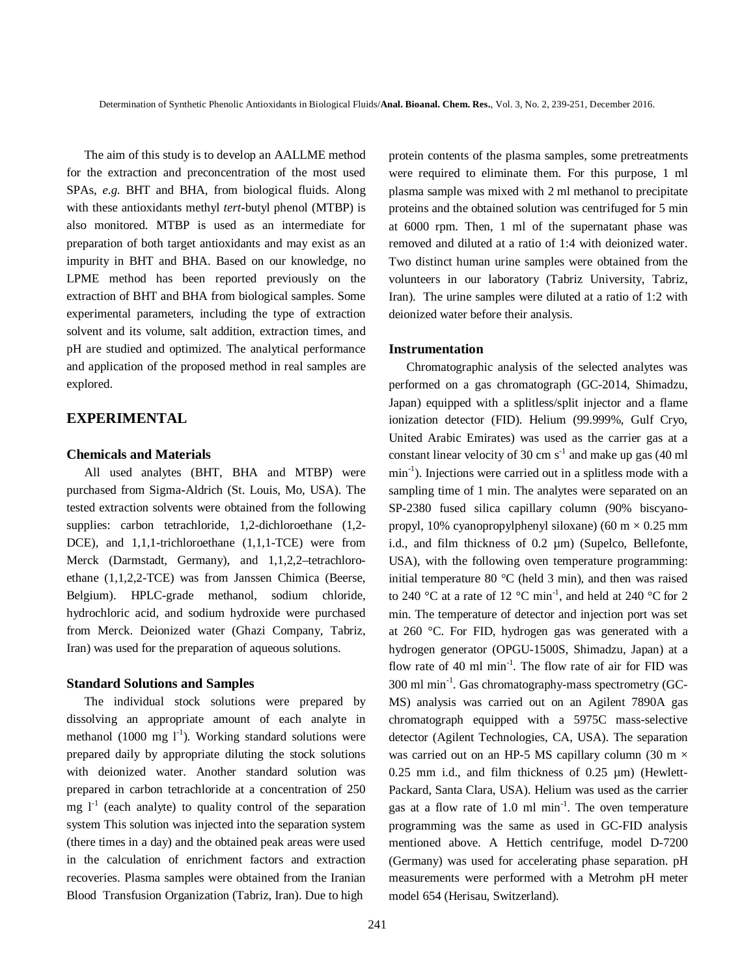The aim of this study is to develop an AALLME method for the extraction and preconcentration of the most used SPAs, *e.g.* BHT and BHA, from biological fluids. Along with these antioxidants methyl *tert***-**butyl phenol (MTBP) is also monitored. MTBP is used as an intermediate for preparation of both target antioxidants and may exist as an impurity in BHT and BHA. Based on our knowledge, no LPME method has been reported previously on the extraction of BHT and BHA from biological samples. Some experimental parameters, including the type of extraction solvent and its volume, salt addition, extraction times, and pH are studied and optimized. The analytical performance and application of the proposed method in real samples are explored.

#### **EXPERIMENTAL**

#### **Chemicals and Materials**

All used analytes (BHT, BHA and MTBP) were purchased from Sigma**-**Aldrich (St. Louis, Mo, USA). The tested extraction solvents were obtained from the following supplies: carbon tetrachloride, 1,2-dichloroethane (1,2- DCE), and 1,1,1-trichloroethane (1,1,1-TCE) were from Merck (Darmstadt, Germany), and 1,1,2,2-tetrachloroethane (1,1,2,2-TCE) was from Janssen Chimica (Beerse, Belgium). HPLC-grade methanol, sodium chloride, hydrochloric acid, and sodium hydroxide were purchased from Merck. Deionized water (Ghazi Company, Tabriz, Iran) was used for the preparation of aqueous solutions.

#### **Standard Solutions and Samples**

The individual stock solutions were prepared by dissolving an appropriate amount of each analyte in methanol (1000 mg  $I<sup>-1</sup>$ ). Working standard solutions were prepared daily by appropriate diluting the stock solutions with deionized water. Another standard solution was prepared in carbon tetrachloride at a concentration of 250 mg  $I<sup>-1</sup>$  (each analyte) to quality control of the separation system This solution was injected into the separation system (there times in a day) and the obtained peak areas were used in the calculation of enrichment factors and extraction recoveries. Plasma samples were obtained from the Iranian Blood Transfusion Organization (Tabriz, Iran). Due to high

protein contents of the plasma samples, some pretreatments were required to eliminate them. For this purpose, 1 ml plasma sample was mixed with 2 ml methanol to precipitate proteins and the obtained solution was centrifuged for 5 min at 6000 rpm. Then, 1 ml of the supernatant phase was removed and diluted at a ratio of 1:4 with deionized water. Two distinct human urine samples were obtained from the volunteers in our laboratory (Tabriz University, Tabriz, Iran). The urine samples were diluted at a ratio of 1:2 with deionized water before their analysis.

#### **Instrumentation**

Chromatographic analysis of the selected analytes was performed on a gas chromatograph (GC-2014, Shimadzu, Japan) equipped with a splitless/split injector and a flame ionization detector (FID). Helium (99.999%, Gulf Cryo, United Arabic Emirates) was used as the carrier gas at a constant linear velocity of 30 cm  $s^{-1}$  and make up gas (40 ml min<sup>-1</sup>). Injections were carried out in a splitless mode with a sampling time of 1 min. The analytes were separated on an SP-2380 fused silica capillary column (90% biscyanopropyl, 10% cyanopropylphenyl siloxane) (60 m  $\times$  0.25 mm i.d., and film thickness of 0.2 µm) (Supelco, Bellefonte, USA), with the following oven temperature programming: initial temperature 80 °C (held 3 min), and then was raised to 240 °C at a rate of 12 °C min<sup>-1</sup>, and held at 240 °C for 2 min. The temperature of detector and injection port was set at 260 °C. For FID, hydrogen gas was generated with a hydrogen generator (OPGU-1500S, Shimadzu, Japan) at a flow rate of 40 ml min<sup>-1</sup>. The flow rate of air for FID was 300 ml min-1 . Gas chromatography-mass spectrometry (GC-MS) analysis was carried out on an Agilent 7890A gas chromatograph equipped with a 5975C mass-selective detector (Agilent Technologies, CA, USA). The separation was carried out on an HP-5 MS capillary column (30 m  $\times$  $0.25$  mm i.d., and film thickness of  $0.25 \mu m$ ) (Hewlett-Packard, Santa Clara, USA). Helium was used as the carrier gas at a flow rate of 1.0 ml min<sup>-1</sup>. The oven temperature programming was the same as used in GC-FID analysis mentioned above. A Hettich centrifuge, model D-7200 (Germany) was used for accelerating phase separation. pH measurements were performed with a Metrohm pH meter model 654 (Herisau, Switzerland).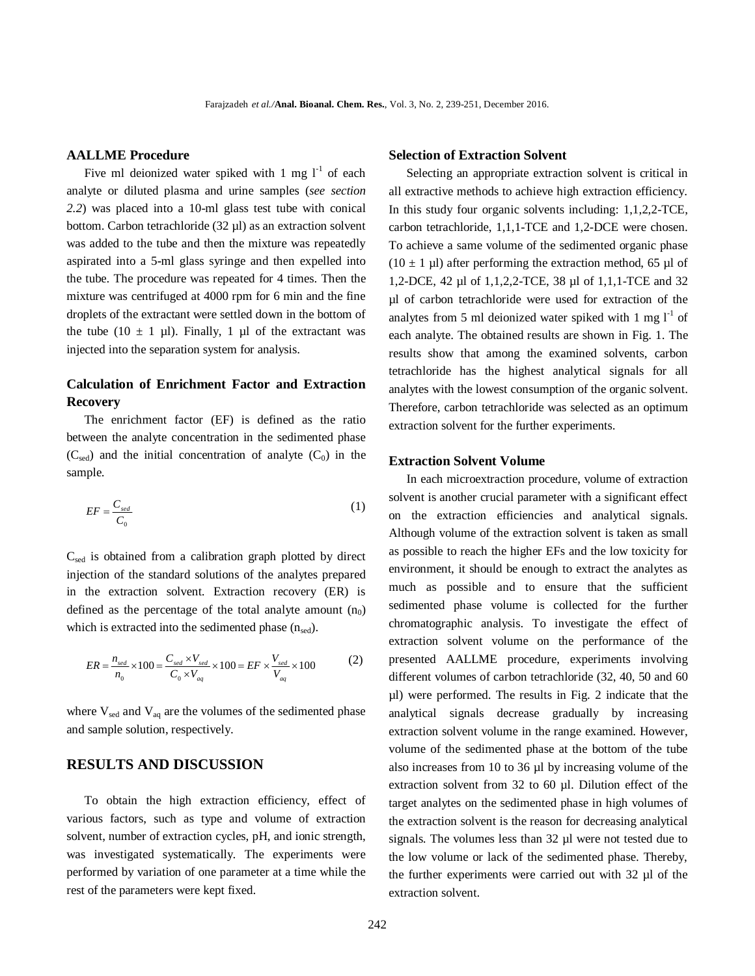#### **AALLME Procedure**

Five ml deionized water spiked with 1 mg  $l^{-1}$  of each analyte or diluted plasma and urine samples (*see section 2.2*) was placed into a 10-ml glass test tube with conical bottom. Carbon tetrachloride (32 µl) as an extraction solvent was added to the tube and then the mixture was repeatedly aspirated into a 5**-**ml glass syringe and then expelled into the tube. The procedure was repeated for 4 times. Then the mixture was centrifuged at 4000 rpm for 6 min and the fine droplets of the extractant were settled down in the bottom of the tube (10  $\pm$  1 µl). Finally, 1 µl of the extractant was injected into the separation system for analysis.

# **Calculation of Enrichment Factor and Extraction Recovery**

The enrichment factor (EF) is defined as the ratio between the analyte concentration in the sedimented phase  $(C_{\text{sed}})$  and the initial concentration of analyte  $(C_0)$  in the sample.

$$
EF = \frac{C_{\text{sed}}}{C_0} \tag{1}
$$

Csed is obtained from a calibration graph plotted by direct injection of the standard solutions of the analytes prepared in the extraction solvent. Extraction recovery (ER) is defined as the percentage of the total analyte amount  $(n_0)$ which is extracted into the sedimented phase  $(n_{\text{sed}})$ .

$$
ER = \frac{n_{sed}}{n_0} \times 100 = \frac{C_{sed} \times V_{sed}}{C_0 \times V_{aq}} \times 100 = EF \times \frac{V_{sed}}{V_{aq}} \times 100
$$
 (2)

where  $V_{\text{sed}}$  and  $V_{\text{aq}}$  are the volumes of the sedimented phase and sample solution, respectively.

#### **RESULTS AND DISCUSSION**

To obtain the high extraction efficiency, effect of various factors, such as type and volume of extraction solvent, number of extraction cycles, pH, and ionic strength, was investigated systematically. The experiments were performed by variation of one parameter at a time while the rest of the parameters were kept fixed.

#### **Selection of Extraction Solvent**

Selecting an appropriate extraction solvent is critical in all extractive methods to achieve high extraction efficiency. In this study four organic solvents including: 1,1,2,2-TCE, carbon tetrachloride, 1,1,1-TCE and 1,2-DCE were chosen. To achieve a same volume of the sedimented organic phase  $(10 \pm 1 \text{ µ})$  after performing the extraction method, 65 \,ul of 1,2-DCE, 42 µl of 1,1,2,2-TCE, 38 µl of 1,1,1-TCE and 32 µl of carbon tetrachloride were used for extraction of the analytes from 5 ml deionized water spiked with 1 mg  $1^{-1}$  of each analyte. The obtained results are shown in Fig. 1. The results show that among the examined solvents, carbon tetrachloride has the highest analytical signals for all analytes with the lowest consumption of the organic solvent. Therefore, carbon tetrachloride was selected as an optimum extraction solvent for the further experiments.

#### **Extraction Solvent Volume**

In each microextraction procedure, volume of extraction solvent is another crucial parameter with a significant effect on the extraction efficiencies and analytical signals. Although volume of the extraction solvent is taken as small as possible to reach the higher EFs and the low toxicity for environment, it should be enough to extract the analytes as much as possible and to ensure that the sufficient sedimented phase volume is collected for the further chromatographic analysis. To investigate the effect of extraction solvent volume on the performance of the presented AALLME procedure, experiments involving different volumes of carbon tetrachloride (32, 40, 50 and 60 µl) were performed. The results in Fig. 2 indicate that the analytical signals decrease gradually by increasing extraction solvent volume in the range examined. However, volume of the sedimented phase at the bottom of the tube also increases from 10 to 36 µl by increasing volume of the extraction solvent from 32 to 60 µl. Dilution effect of the target analytes on the sedimented phase in high volumes of the extraction solvent is the reason for decreasing analytical signals. The volumes less than 32 µl were not tested due to the low volume or lack of the sedimented phase. Thereby, the further experiments were carried out with 32 µl of the extraction solvent.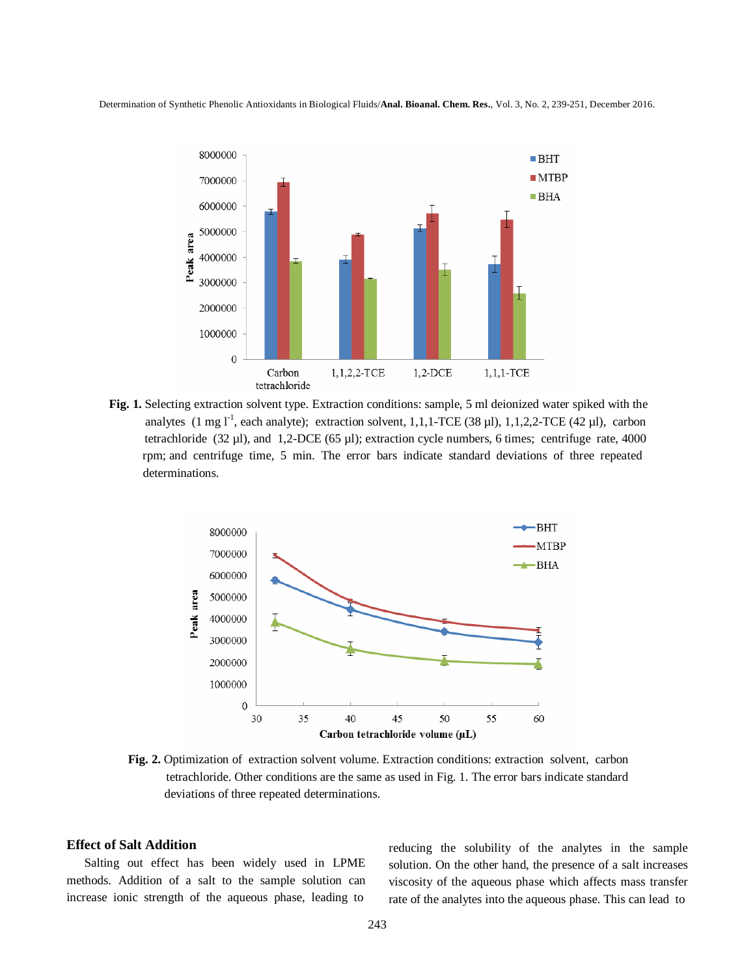

**Fig. 1.** Selecting extraction solvent type. Extraction conditions: sample, 5 ml deionized water spiked with the analytes  $(1 \text{ mg } l^{-1})$ , each analyte); extraction solvent, 1,1,1-TCE  $(38 \mu l)$ , 1,1,2,2-TCE  $(42 \mu l)$ , carbon tetrachloride (32 µl), and 1,2-DCE (65 µl); extraction cycle numbers, 6 times; centrifuge rate, 4000 rpm; and centrifuge time, 5 min. The error bars indicate standard deviations of three repeated determinations.



**Fig. 2.** Optimization of extraction solvent volume. Extraction conditions: extraction solvent, carbon tetrachloride. Other conditions are the same as used in Fig. 1. The error bars indicate standard deviations of three repeated determinations.

#### **Effect of Salt Addition**

Salting out effect has been widely used in LPME methods. Addition of a salt to the sample solution can increase ionic strength of the aqueous phase, leading to

reducing the solubility of the analytes in the sample solution. On the other hand, the presence of a salt increases viscosity of the aqueous phase which affects mass transfer rate of the analytes into the aqueous phase. This can lead to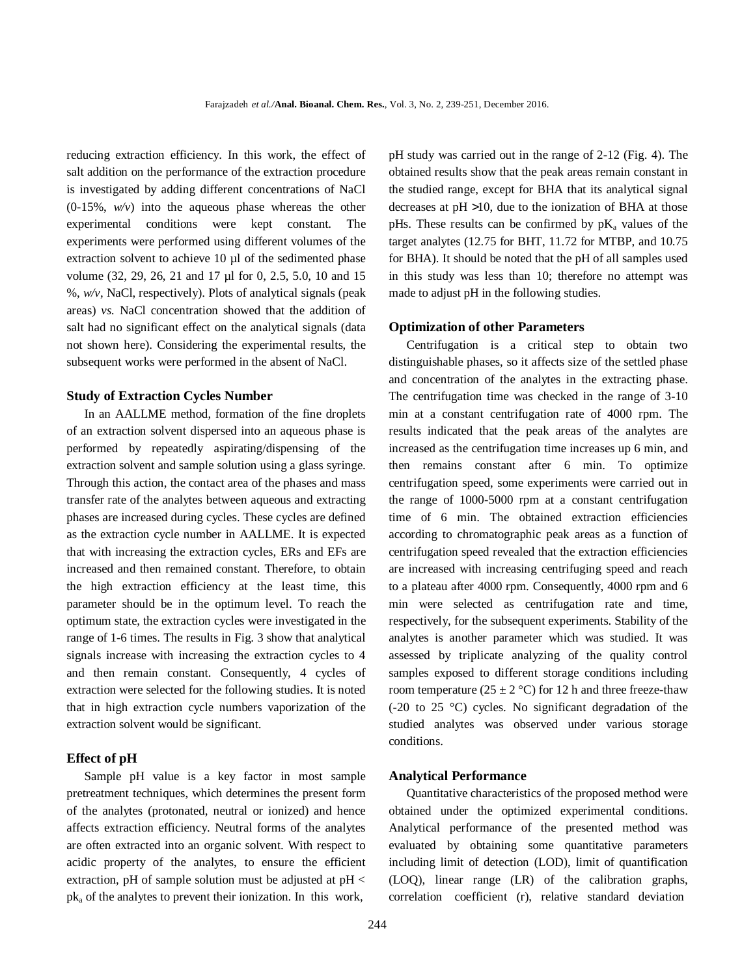reducing extraction efficiency. In this work, the effect of salt addition on the performance of the extraction procedure is investigated by adding different concentrations of NaCl (0-15%, *w/v*) into the aqueous phase whereas the other experimental conditions were kept constant. The experiments were performed using different volumes of the extraction solvent to achieve 10 µl of the sedimented phase volume (32, 29, 26, 21 and 17 µl for 0, 2.5, 5.0, 10 and 15 %, *w/v*, NaCl, respectively). Plots of analytical signals (peak areas) *vs.* NaCl concentration showed that the addition of salt had no significant effect on the analytical signals (data not shown here). Considering the experimental results, the subsequent works were performed in the absent of NaCl.

#### **Study of Extraction Cycles Number**

In an AALLME method, formation of the fine droplets of an extraction solvent dispersed into an aqueous phase is performed by repeatedly aspirating/dispensing of the extraction solvent and sample solution using a glass syringe. Through this action, the contact area of the phases and mass transfer rate of the analytes between aqueous and extracting phases are increased during cycles. These cycles are defined as the extraction cycle number in AALLME. It is expected that with increasing the extraction cycles, ERs and EFs are increased and then remained constant. Therefore, to obtain the high extraction efficiency at the least time, this parameter should be in the optimum level. To reach the optimum state, the extraction cycles were investigated in the range of 1-6 times. The results in Fig. 3 show that analytical signals increase with increasing the extraction cycles to 4 and then remain constant. Consequently, 4 cycles of extraction were selected for the following studies. It is noted that in high extraction cycle numbers vaporization of the extraction solvent would be significant.

#### **Effect of pH**

Sample pH value is a key factor in most sample pretreatment techniques, which determines the present form of the analytes (protonated, neutral or ionized) and hence affects extraction efficiency. Neutral forms of the analytes are often extracted into an organic solvent. With respect to acidic property of the analytes, to ensure the efficient extraction, pH of sample solution must be adjusted at pH < pk<sup>a</sup> of the analytes to prevent their ionization. In this work,

pH study was carried out in the range of 2-12 (Fig. 4). The obtained results show that the peak areas remain constant in the studied range, except for BHA that its analytical signal decreases at pH >10, due to the ionization of BHA at those pHs. These results can be confirmed by  $pK_a$  values of the target analytes (12.75 for BHT, 11.72 for MTBP, and 10.75 for BHA). It should be noted that the pH of all samples used in this study was less than 10; therefore no attempt was made to adjust pH in the following studies.

#### **Optimization of other Parameters**

Centrifugation is a critical step to obtain two distinguishable phases, so it affects size of the settled phase and concentration of the analytes in the extracting phase. The centrifugation time was checked in the range of 3-10 min at a constant centrifugation rate of 4000 rpm. The results indicated that the peak areas of the analytes are increased as the centrifugation time increases up 6 min, and then remains constant after 6 min. To optimize centrifugation speed, some experiments were carried out in the range of 1000-5000 rpm at a constant centrifugation time of 6 min. The obtained extraction efficiencies according to chromatographic peak areas as a function of centrifugation speed revealed that the extraction efficiencies are increased with increasing centrifuging speed and reach to a plateau after 4000 rpm. Consequently, 4000 rpm and 6 min were selected as centrifugation rate and time, respectively, for the subsequent experiments. Stability of the analytes is another parameter which was studied. It was assessed by triplicate analyzing of the quality control samples exposed to different storage conditions including room temperature ( $25 \pm 2$  °C) for 12 h and three freeze-thaw (-20 to 25 °C) cycles. No significant degradation of the studied analytes was observed under various storage conditions.

#### **Analytical Performance**

Quantitative characteristics of the proposed method were obtained under the optimized experimental conditions. Analytical performance of the presented method was evaluated by obtaining some quantitative parameters including limit of detection (LOD), limit of quantification (LOQ), linear range (LR) of the calibration graphs, correlation coefficient (r), relative standard deviation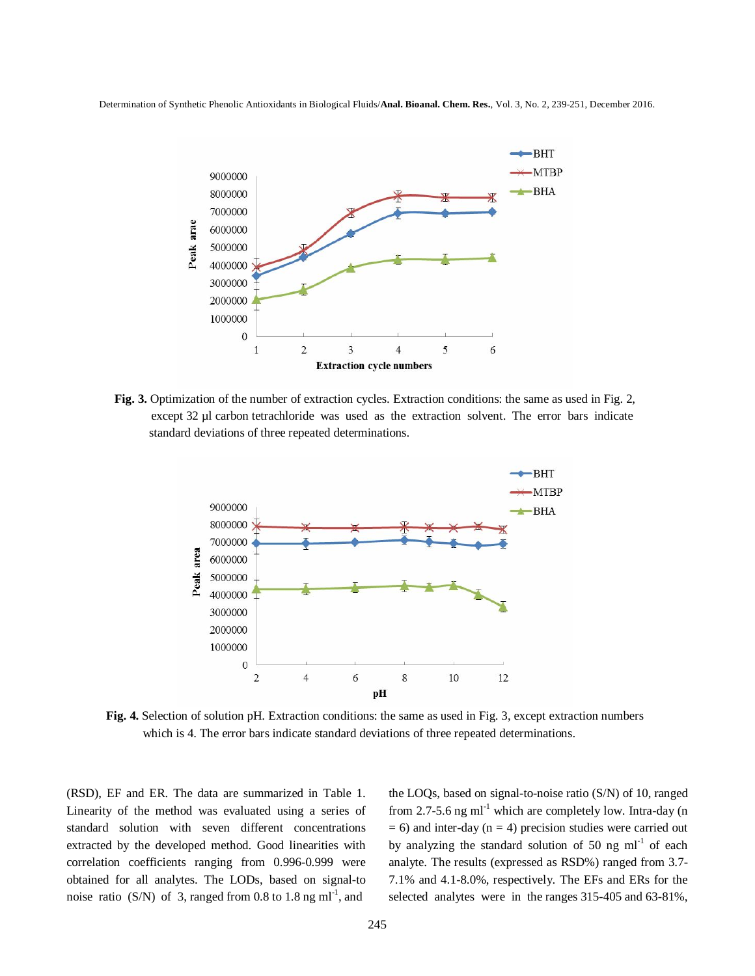

**Fig. 3.** Optimization of the number of extraction cycles. Extraction conditions: the same as used in Fig. 2, except 32 µl carbon tetrachloride was used as the extraction solvent. The error bars indicate standard deviations of three repeated determinations.



**Fig. 4.** Selection of solution pH. Extraction conditions: the same as used in Fig. 3, except extraction numbers which is 4. The error bars indicate standard deviations of three repeated determinations.

(RSD), EF and ER. The data are summarized in Table 1. Linearity of the method was evaluated using a series of standard solution with seven different concentrations extracted by the developed method. Good linearities with correlation coefficients ranging from 0.996-0.999 were obtained for all analytes. The LODs, based on signal-to noise ratio (S/N) of 3, ranged from 0.8 to 1.8 ng ml<sup>-1</sup>, and

the LOQs, based on signal-to-noise ratio (S/N) of 10, ranged from 2.7-5.6 ng  $ml^{-1}$  which are completely low. Intra-day (n  $= 6$ ) and inter-day (n  $= 4$ ) precision studies were carried out by analyzing the standard solution of 50 ng  $ml^{-1}$  of each analyte. The results (expressed as RSD%) ranged from 3.7- 7.1% and 4.1-8.0%, respectively. The EFs and ERs for the selected analytes were in the ranges 315-405 and 63-81%,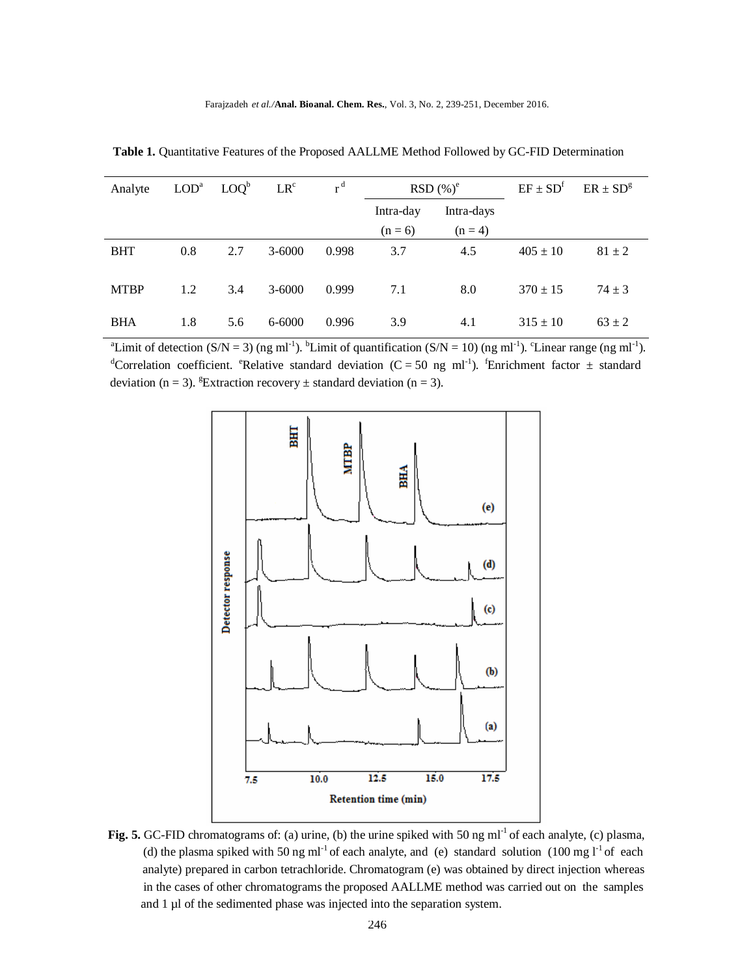| Analyte     |     | $LODa$ $LOQb$ | LR <sup>c</sup> | r <sup>d</sup> | $RSD(\%)^e$ |            | $EF \pm SD^f$ | $ER \pm SD^g$ |
|-------------|-----|---------------|-----------------|----------------|-------------|------------|---------------|---------------|
|             |     |               |                 |                | Intra-day   | Intra-days |               |               |
|             |     |               |                 |                | $(n = 6)$   | $(n = 4)$  |               |               |
| <b>BHT</b>  | 0.8 | 2.7           | $3 - 6000$      | 0.998          | 3.7         | 4.5        | $405 \pm 10$  | $81 \pm 2$    |
| <b>MTBP</b> | 1.2 | 3.4           | $3 - 6000$      | 0.999          | 7.1         | 8.0        | $370 \pm 15$  | $74 \pm 3$    |
| <b>BHA</b>  | 1.8 | 5.6           | 6-6000          | 0.996          | 3.9         | 4.1        | $315 \pm 10$  | $63 \pm 2$    |

 **Table 1.** Quantitative Features of the Proposed AALLME Method Followed by GC-FID Determination

<sup>a</sup>Limit of detection (S/N = 3) (ng ml<sup>-1</sup>). <sup>b</sup>Limit of quantification (S/N = 10) (ng ml<sup>-1</sup>). <sup>c</sup>Linear range (ng ml<sup>-1</sup>). <sup>d</sup>Correlation coefficient. <sup>e</sup>Relative standard deviation (C = 50 ng ml<sup>-1</sup>). <sup>f</sup>Enrichment factor  $\pm$  standard deviation (n = 3). <sup>g</sup>Extraction recovery  $\pm$  standard deviation (n = 3).



Fig. 5. GC-FID chromatograms of: (a) urine, (b) the urine spiked with 50 ng ml<sup>-1</sup> of each analyte, (c) plasma, (d) the plasma spiked with 50 ng ml<sup>-1</sup> of each analyte, and (e) standard solution (100 mg l<sup>-1</sup> of each analyte) prepared in carbon tetrachloride. Chromatogram (e) was obtained by direct injection whereas in the cases of other chromatograms the proposed AALLME method was carried out on the samples and 1 µl of the sedimented phase was injected into the separation system.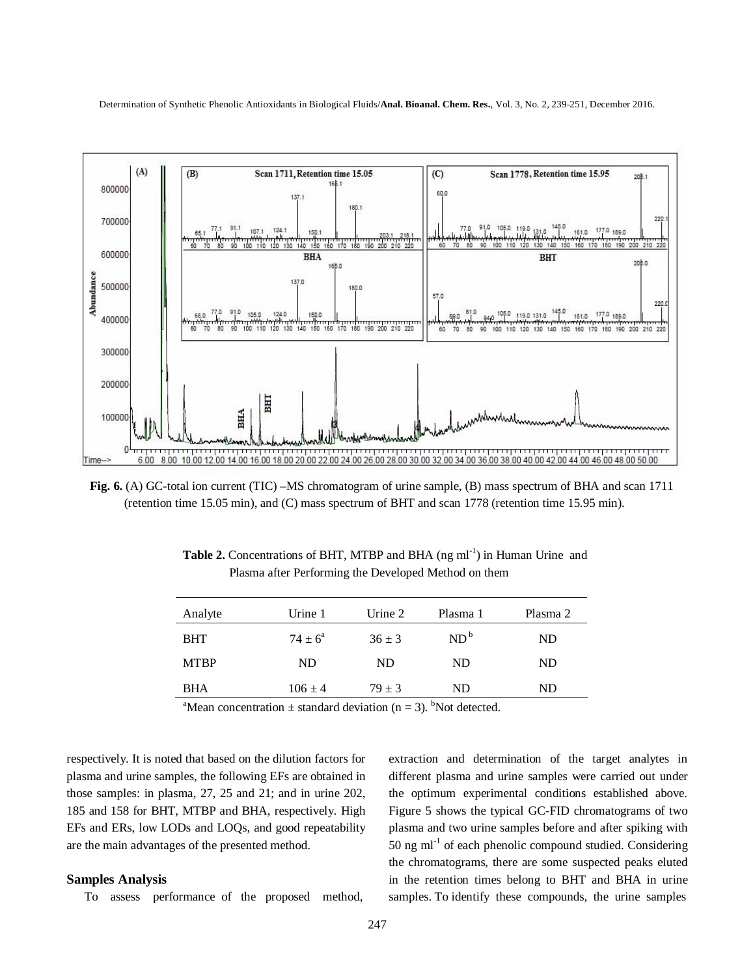

**Fig. 6.** (A) GC**-**total ion current (TIC) **–**MS chromatogram of urine sample, (B) mass spectrum of BHA and scan 1711 (retention time 15.05 min), and (C) mass spectrum of BHT and scan 1778 (retention time 15.95 min).

**Table 2.** Concentrations of BHT, MTBP and BHA (ng ml<sup>-1</sup>) in Human Urine and Plasma after Performing the Developed Method on them

| Analyte     | Urine 1            | Urine 2    | Plasma 1        | Plasma 2 |
|-------------|--------------------|------------|-----------------|----------|
|             |                    |            |                 |          |
| <b>BHT</b>  | $74 \pm 6^{\circ}$ | $36 \pm 3$ | ND <sup>b</sup> | ND       |
| <b>MTBP</b> | ND.                | ND.        | ND.             | ND       |
| <b>BHA</b>  | $106 \pm 4$        | $79 \pm 3$ | ND.             | ND       |

<sup>a</sup>Mean concentration  $\pm$  standard deviation (n = 3). <sup>b</sup>Not detected.

respectively. It is noted that based on the dilution factors for plasma and urine samples, the following EFs are obtained in those samples: in plasma, 27, 25 and 21; and in urine 202, 185 and 158 for BHT, MTBP and BHA, respectively. High EFs and ERs, low LODs and LOQs, and good repeatability are the main advantages of the presented method.

#### **Samples Analysis**

To assess performance of the proposed method,

extraction and determination of the target analytes in different plasma and urine samples were carried out under the optimum experimental conditions established above. Figure 5 shows the typical GC-FID chromatograms of two plasma and two urine samples before and after spiking with  $50$  ng ml<sup>-1</sup> of each phenolic compound studied. Considering the chromatograms, there are some suspected peaks eluted in the retention times belong to BHT and BHA in urine samples. To identify these compounds, the urine samples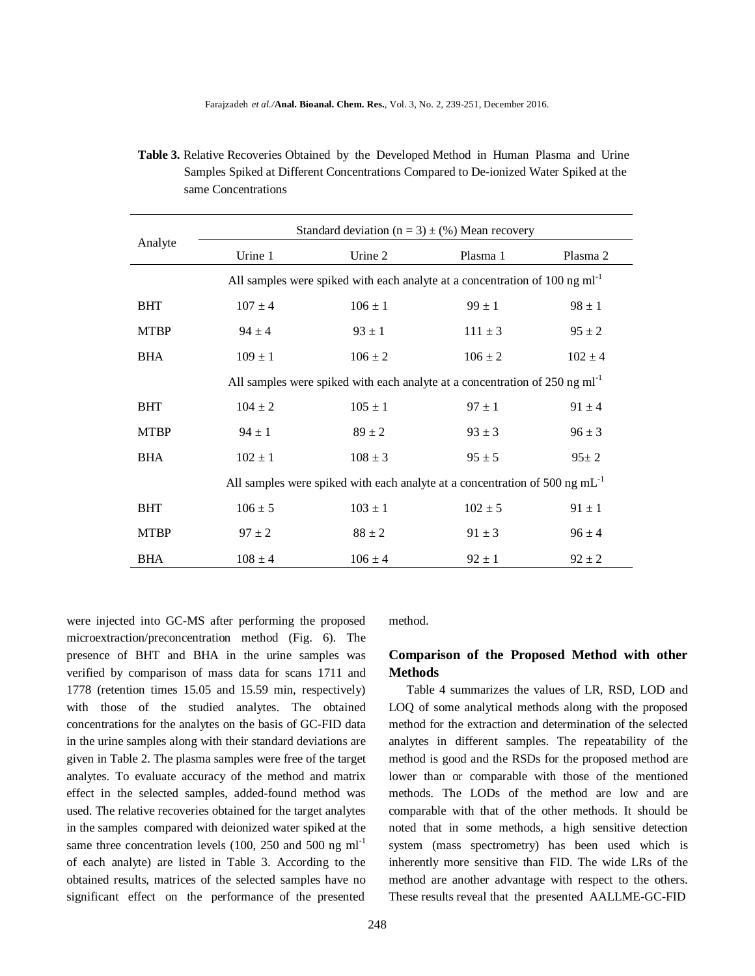| <b>Table 3.</b> Relative Recoveries Obtained by the Developed Method in Human Plasma and Urine |
|------------------------------------------------------------------------------------------------|
| Samples Spiked at Different Concentrations Compared to De-ionized Water Spiked at the          |
| same Concentrations                                                                            |

|             | Standard deviation ( $n = 3$ ) $\pm$ (%) Mean recovery                                    |             |             |             |  |  |  |
|-------------|-------------------------------------------------------------------------------------------|-------------|-------------|-------------|--|--|--|
| Analyte     | Urine 1                                                                                   | Urine 2     | Plasma 1    | Plasma 2    |  |  |  |
|             | All samples were spiked with each analyte at a concentration of $100 \text{ ng ml}^{-1}$  |             |             |             |  |  |  |
| <b>BHT</b>  | $107 \pm 4$                                                                               | $106 \pm 1$ | $99 \pm 1$  | $98 \pm 1$  |  |  |  |
| <b>MTBP</b> | $94 \pm 4$                                                                                | $93 \pm 1$  | $111 \pm 3$ | $95 \pm 2$  |  |  |  |
| <b>BHA</b>  | $109 \pm 1$                                                                               | $106 \pm 2$ | $106 \pm 2$ | $102 \pm 4$ |  |  |  |
|             | All samples were spiked with each analyte at a concentration of $250$ ng ml <sup>-1</sup> |             |             |             |  |  |  |
| <b>BHT</b>  | $104 \pm 2$                                                                               | $105 \pm 1$ | $97 \pm 1$  | $91 \pm 4$  |  |  |  |
| <b>MTBP</b> | $94 \pm 1$                                                                                | $89 \pm 2$  | $93 \pm 3$  | $96 \pm 3$  |  |  |  |
| <b>BHA</b>  | $102 \pm 1$                                                                               | $108 \pm 3$ | $95 \pm 5$  | $95 \pm 2$  |  |  |  |
|             | All samples were spiked with each analyte at a concentration of 500 ng $mL^{-1}$          |             |             |             |  |  |  |
| <b>BHT</b>  | $106 \pm 5$                                                                               | $103 \pm 1$ | $102 \pm 5$ | $91 \pm 1$  |  |  |  |
| <b>MTBP</b> | $97 \pm 2$                                                                                | $88 \pm 2$  | $91 \pm 3$  | $96 \pm 4$  |  |  |  |
| <b>BHA</b>  | $108 \pm 4$                                                                               | $106 \pm 4$ | $92 \pm 1$  | $92 \pm 2$  |  |  |  |

were injected into GC-MS after performing the proposed microextraction/preconcentration method (Fig. 6). The presence of BHT and BHA in the urine samples was verified by comparison of mass data for scans 1711 and 1778 (retention times 15.05 and 15.59 min, respectively) with those of the studied analytes. The obtained concentrations for the analytes on the basis of GC-FID data in the urine samples along with their standard deviations are given in Table 2. The plasma samples were free of the target analytes. To evaluate accuracy of the method and matrix effect in the selected samples, added-found method was used. The relative recoveries obtained for the target analytes in the samples compared with deionized water spiked at the same three concentration levels (100, 250 and 500 ng ml<sup>-1</sup> of each analyte) are listed in Table 3. According to the obtained results, matrices of the selected samples have no significant effect on the performance of the presented

method.

## **Comparison of the Proposed Method with other Methods**

Table 4 summarizes the values of LR, RSD, LOD and LOQ of some analytical methods along with the proposed method for the extraction and determination of the selected analytes in different samples. The repeatability of the method is good and the RSDs for the proposed method are lower than or comparable with those of the mentioned methods. The LODs of the method are low and are comparable with that of the other methods. It should be noted that in some methods, a high sensitive detection system (mass spectrometry) has been used which is inherently more sensitive than FID. The wide LRs of the method are another advantage with respect to the others. These results reveal that the presented AALLME-GC-FID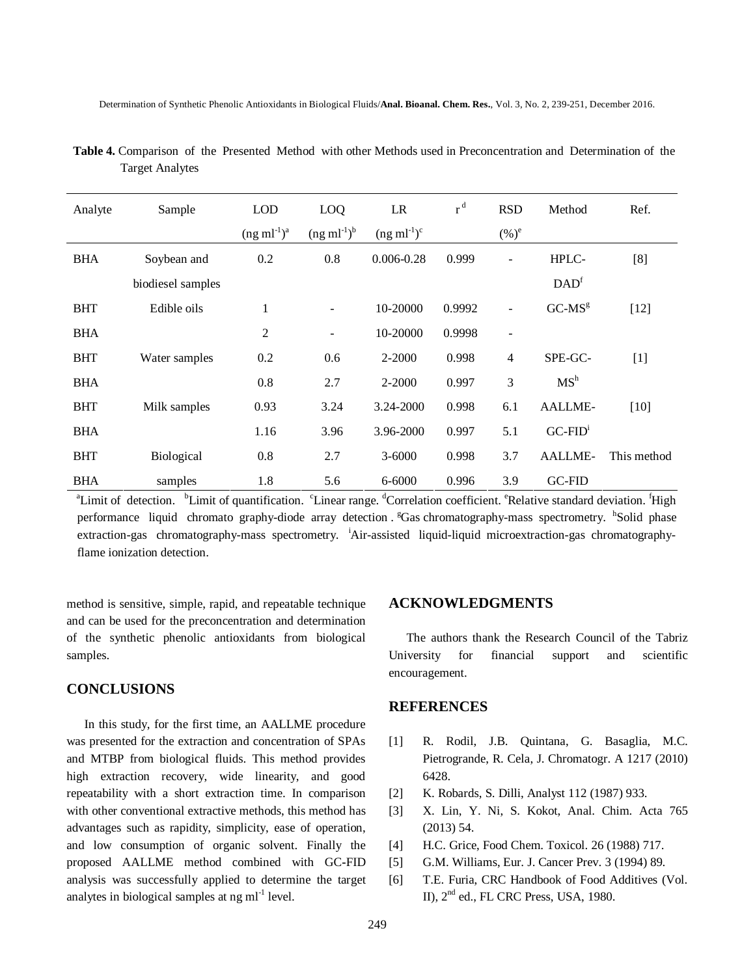| Analyte    | Sample            | <b>LOD</b>       | LOQ                      | LR               | $r^d$  | <b>RSD</b>               | Method           | Ref.        |
|------------|-------------------|------------------|--------------------------|------------------|--------|--------------------------|------------------|-------------|
|            |                   | $(ng ml^{-1})^a$ | $(ng ml^{-1})^b$         | $(ng ml^{-1})^c$ |        | $(\%)^e$                 |                  |             |
| <b>BHA</b> | Soybean and       | 0.2              | 0.8                      | $0.006 - 0.28$   | 0.999  | $\overline{\phantom{a}}$ | HPLC-            | [8]         |
|            | biodiesel samples |                  |                          |                  |        |                          | DAD <sup>f</sup> |             |
| <b>BHT</b> | Edible oils       | 1                | $\overline{\phantom{a}}$ | 10-20000         | 0.9992 | $\overline{\phantom{a}}$ | $GC-MSg$         | $[12]$      |
| <b>BHA</b> |                   | 2                | $\overline{\phantom{a}}$ | 10-20000         | 0.9998 | $\overline{\phantom{a}}$ |                  |             |
| <b>BHT</b> | Water samples     | 0.2              | 0.6                      | 2-2000           | 0.998  | $\overline{4}$           | SPE-GC-          | $[1]$       |
| <b>BHA</b> |                   | 0.8              | 2.7                      | 2-2000           | 0.997  | 3                        | MS <sup>h</sup>  |             |
| <b>BHT</b> | Milk samples      | 0.93             | 3.24                     | 3.24-2000        | 0.998  | 6.1                      | AALLME-          | $[10]$      |
| <b>BHA</b> |                   | 1.16             | 3.96                     | 3.96-2000        | 0.997  | 5.1                      | $GC-FIDi$        |             |
| <b>BHT</b> | Biological        | 0.8              | 2.7                      | $3 - 6000$       | 0.998  | 3.7                      | AALLME-          | This method |
| <b>BHA</b> | samples           | 1.8              | 5.6                      | 6-6000           | 0.996  | 3.9                      | <b>GC-FID</b>    |             |

 **Table 4.** Comparison of the Presented Method with other Methods used in Preconcentration and Determination of the Target Analytes

<sup>a</sup>Limit of detection. <sup>b</sup>Limit of quantification. Clinear range. <sup>d</sup>Correlation coefficient. <sup>e</sup>Relative standard deviation. <sup>f</sup>High performance liquid chromato graphy-diode array detection . <sup>g</sup>Gas chromatography-mass spectrometry. <sup>h</sup>Solid phase extraction-gas chromatography-mass spectrometry. <sup>i</sup>Air-assisted liquid-liquid microextraction-gas chromatographyflame ionization detection.

method is sensitive, simple, rapid, and repeatable technique and can be used for the preconcentration and determination of the synthetic phenolic antioxidants from biological samples.

### **CONCLUSIONS**

In this study, for the first time, an AALLME procedure was presented for the extraction and concentration of SPAs and MTBP from biological fluids. This method provides high extraction recovery, wide linearity, and good repeatability with a short extraction time. In comparison with other conventional extractive methods, this method has advantages such as rapidity, simplicity, ease of operation, and low consumption of organic solvent. Finally the proposed AALLME method combined with GC**-**FID analysis was successfully applied to determine the target analytes in biological samples at  $ng$  ml<sup>-1</sup> level.

## **ACKNOWLEDGMENTS**

The authors thank the Research Council of the Tabriz University for financial support and scientific encouragement.

#### **REFERENCES**

- [1] R. Rodil, J.B. Quintana, G. Basaglia, M.C. Pietrogrande, R. Cela, J. Chromatogr. A 1217 (2010) 6428.
- [2] K. Robards, S. Dilli, Analyst 112 (1987) 933.
- [3] X. Lin, Y. Ni, S. Kokot, Anal. Chim. Acta 765 (2013) 54.
- [4] H.C. Grice, Food Chem. Toxicol. 26 (1988) 717.
- [5] G.M. Williams, Eur. J. Cancer Prev. 3 (1994) 89.
- [6] T.E. Furia, CRC Handbook of Food Additives (Vol. II), 2nd ed., FL CRC Press, USA, 1980.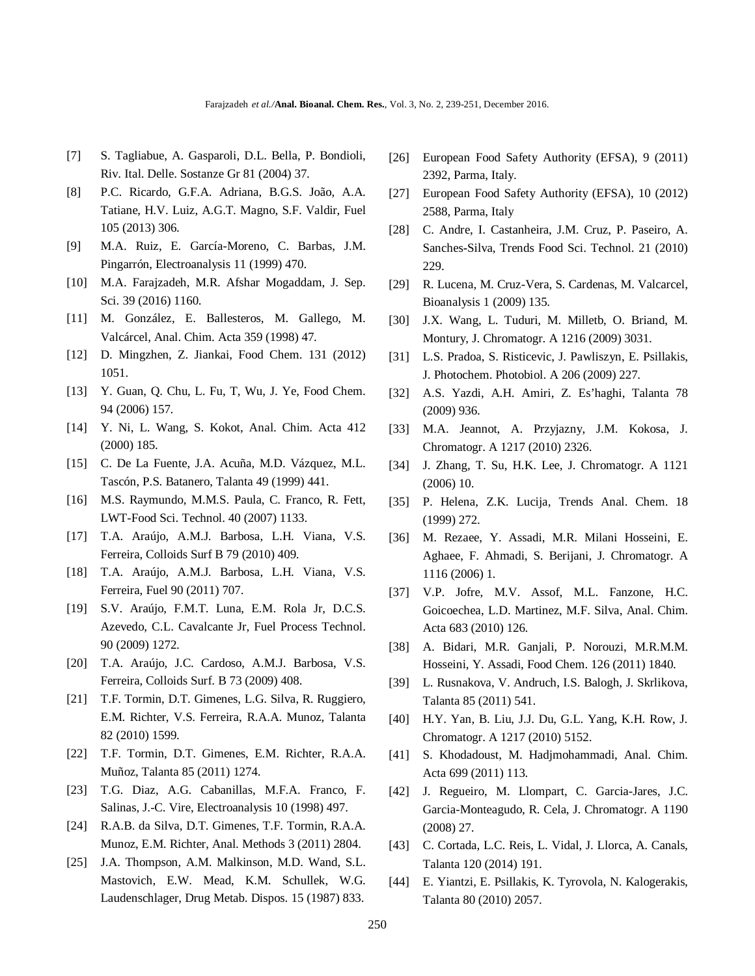- [7] S. Tagliabue, A. Gasparoli, D.L. Bella, P. Bondioli, Riv. Ital. Delle. Sostanze Gr 81 (2004) 37.
- [8] P.C. Ricardo, G.F.A. Adriana, B.G.S. João, A.A. Tatiane, H.V. Luiz, A.G.T. Magno, S.F. Valdir, Fuel 105 (2013) 306.
- [9] M.A. Ruiz, E. García-Moreno, C. Barbas, J.M. Pingarrón, Electroanalysis 11 (1999) 470.
- [10] M.A. Farajzadeh, M.R. Afshar Mogaddam, J. Sep. Sci. 39 (2016) 1160.
- [11] M. González, E. Ballesteros, M. Gallego, M. Valcárcel, Anal. Chim. Acta 359 (1998) 47.
- [12] D. Mingzhen, Z. Jiankai, Food Chem. 131 (2012) 1051.
- [13] Y. Guan, Q. Chu, L. Fu, T, Wu, J. Ye, Food Chem. 94 (2006) 157.
- [14] Y. Ni, L. Wang, S. Kokot, Anal. Chim. Acta 412 (2000) 185.
- [15] C. De La Fuente, J.A. Acuña, M.D. Vázquez, M.L. Tascón, P.S. Batanero, Talanta 49 (1999) 441.
- [16] M.S. Raymundo, M.M.S. Paula, C. Franco, R. Fett, LWT-Food Sci. Technol. 40 (2007) 1133.
- [17] T.A. Araújo, A.M.J. Barbosa, L.H. Viana, V.S. Ferreira, Colloids Surf B 79 (2010) 409.
- [18] T.A. Araújo, A.M.J. Barbosa, L.H. Viana, V.S. Ferreira, Fuel 90 (2011) 707.
- [19] S.V. Araújo, F.M.T. Luna, E.M. Rola Jr, D.C.S. Azevedo, C.L. Cavalcante Jr, Fuel Process Technol. 90 (2009) 1272.
- [20] T.A. Araújo, J.C. Cardoso, A.M.J. Barbosa, V.S. Ferreira, Colloids Surf. B 73 (2009) 408.
- [21] T.F. Tormin, D.T. Gimenes, L.G. Silva, R. Ruggiero, E.M. Richter, V.S. Ferreira, R.A.A. Munoz, Talanta 82 (2010) 1599.
- [22] T.F. Tormin, D.T. Gimenes, E.M. Richter, R.A.A. Muñoz, Talanta 85 (2011) 1274.
- [23] T.G. Diaz, A.G. Cabanillas, M.F.A. Franco, F. Salinas, J.-C. Vire, Electroanalysis 10 (1998) 497.
- [24] R.A.B. da Silva, D.T. Gimenes, T.F. Tormin, R.A.A. Munoz, E.M. Richter, Anal. Methods 3 (2011) 2804.
- [25] J.A. Thompson, A.M. Malkinson, M.D. Wand, S.L. Mastovich, E.W. Mead, K.M. Schullek, W.G. Laudenschlager, Drug Metab. Dispos. 15 (1987) 833.
- [26] European Food Safety Authority (EFSA), 9 (2011) 2392, Parma, Italy.
- [27] European Food Safety Authority (EFSA), 10 (2012) 2588, Parma, Italy
- [28] C. Andre, I. Castanheira, J.M. Cruz, P. Paseiro, A. Sanches**-**Silva, Trends Food Sci. Technol. 21 (2010) 229.
- [29] R. Lucena, M. Cruz-Vera, S. Cardenas, M. Valcarcel, Bioanalysis 1 (2009) 135.
- [30] J.X. Wang, L. Tuduri, M. Milletb, O. Briand, M. Montury, J. Chromatogr. A 1216 (2009) 3031.
- [31] L.S. Pradoa, S. Risticevic, J. Pawliszyn, E. Psillakis, J. Photochem. Photobiol. A 206 (2009) 227.
- [32] A.S. Yazdi, A.H. Amiri, Z. Es'haghi, Talanta 78 (2009) 936.
- [33] M.A. Jeannot, A. Przyjazny, J.M. Kokosa, J. Chromatogr. A 1217 (2010) 2326.
- [34] J. Zhang, T. Su, H.K. Lee, J. Chromatogr. A 1121 (2006) 10.
- [35] P. Helena, Z.K. Lucija, Trends Anal. Chem. 18 (1999) 272.
- [36] M. Rezaee, Y. Assadi, M.R. Milani Hosseini, E. Aghaee, F. Ahmadi, S. Berijani, J. Chromatogr. A 1116 (2006) 1.
- [37] V.P. Jofre, M.V. Assof, M.L. Fanzone, H.C. Goicoechea, L.D. Martinez, M.F. Silva, Anal. Chim. Acta 683 (2010) 126.
- [38] A. Bidari, M.R. Ganjali, P. Norouzi, M.R.M.M. Hosseini, Y. Assadi, Food Chem. 126 (2011) 1840.
- [39] L. Rusnakova, V. Andruch, I.S. Balogh, J. Skrlikova, Talanta 85 (2011) 541.
- [40] H.Y. Yan, B. Liu, J.J. Du, G.L. Yang, K.H. Row, J. Chromatogr. A 1217 (2010) 5152.
- [41] S. Khodadoust, M. Hadjmohammadi, Anal. Chim. Acta 699 (2011) 113.
- [42] J. Regueiro, M. Llompart, C. Garcia-Jares, J.C. Garcia-Monteagudo, R. Cela, J. Chromatogr. A 1190 (2008) 27.
- [43] C. Cortada, L.C. Reis, L. Vidal, J. Llorca, A. Canals, Talanta 120 (2014) 191.
- [44] E. Yiantzi, E. Psillakis, K. Tyrovola, N. Kalogerakis, Talanta 80 (2010) 2057.